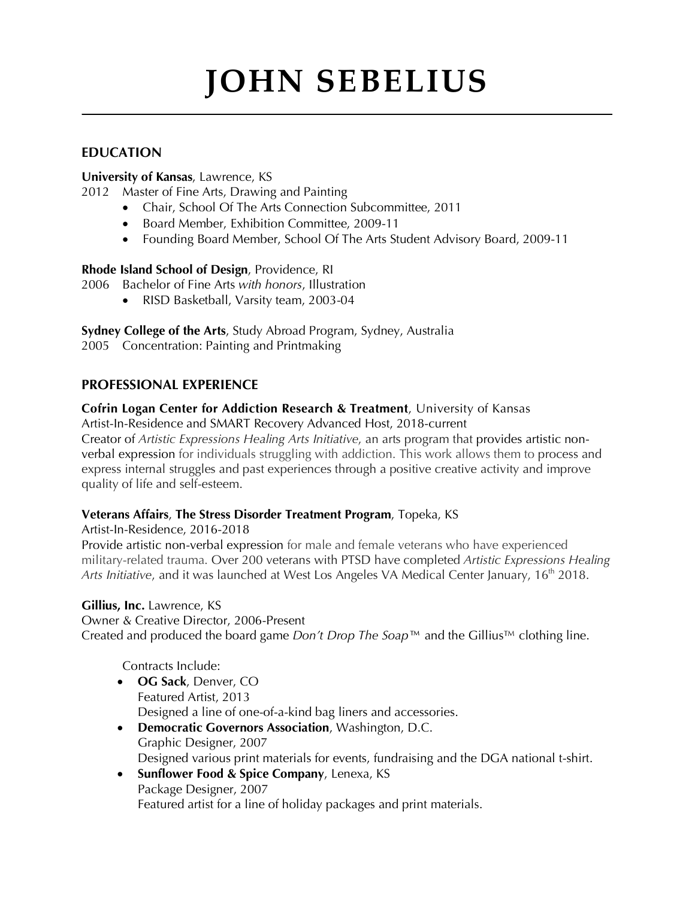# **JOHN SEBELIUS**

**\_\_\_\_\_\_\_\_\_\_\_\_\_\_\_\_\_\_\_\_\_\_\_\_\_\_\_\_\_\_\_\_\_\_\_\_\_\_\_\_\_\_\_\_\_\_\_\_\_\_\_\_\_\_\_\_\_\_\_\_\_\_\_\_\_\_\_\_\_\_\_\_\_\_\_\_\_\_\_\_\_\_\_\_\_**

# **EDUCATION**

#### **University of Kansas**, Lawrence, KS

2012 Master of Fine Arts, Drawing and Painting

- Chair, School Of The Arts Connection Subcommittee, 2011
- Board Member, Exhibition Committee, 2009-11
- Founding Board Member, School Of The Arts Student Advisory Board, 2009-11

#### **Rhode Island School of Design**, Providence, RI

2006 Bachelor of Fine Arts *with honors*, Illustration

• RISD Basketball, Varsity team, 2003-04

**Sydney College of the Arts**, Study Abroad Program, Sydney, Australia

2005 Concentration: Painting and Printmaking

#### **PROFESSIONAL EXPERIENCE**

# **Cofrin Logan Center for Addiction Research & Treatment**, University of Kansas

Artist-In-Residence and SMART Recovery Advanced Host, 2018-current Creator of *Artistic Expressions Healing Arts Initiative*, an arts program that provides artistic nonverbal expression for individuals struggling with addiction. This work allows them to process and express internal struggles and past experiences through a positive creative activity and improve quality of life and self-esteem.

#### **Veterans Affairs**, **The Stress Disorder Treatment Program**, Topeka, KS

Artist-In-Residence, 2016-2018

Provide artistic non-verbal expression for male and female veterans who have experienced military-related trauma. Over 200 veterans with PTSD have completed *Artistic Expressions Healing*  Arts Initiative, and it was launched at West Los Angeles VA Medical Center January, 16<sup>th</sup> 2018.

# **Gillius, Inc.** Lawrence, KS

Owner & Creative Director, 2006-Present Created and produced the board game *Don't Drop The Soap™* and the Gillius™ clothing line.

Contracts Include:

- **OG Sack**, Denver, CO Featured Artist, 2013 Designed a line of one-of-a-kind bag liners and accessories.
- **Democratic Governors Association**, Washington, D.C. Graphic Designer, 2007 Designed various print materials for events, fundraising and the DGA national t-shirt.
- **Sunflower Food & Spice Company**, Lenexa, KS Package Designer, 2007 Featured artist for a line of holiday packages and print materials.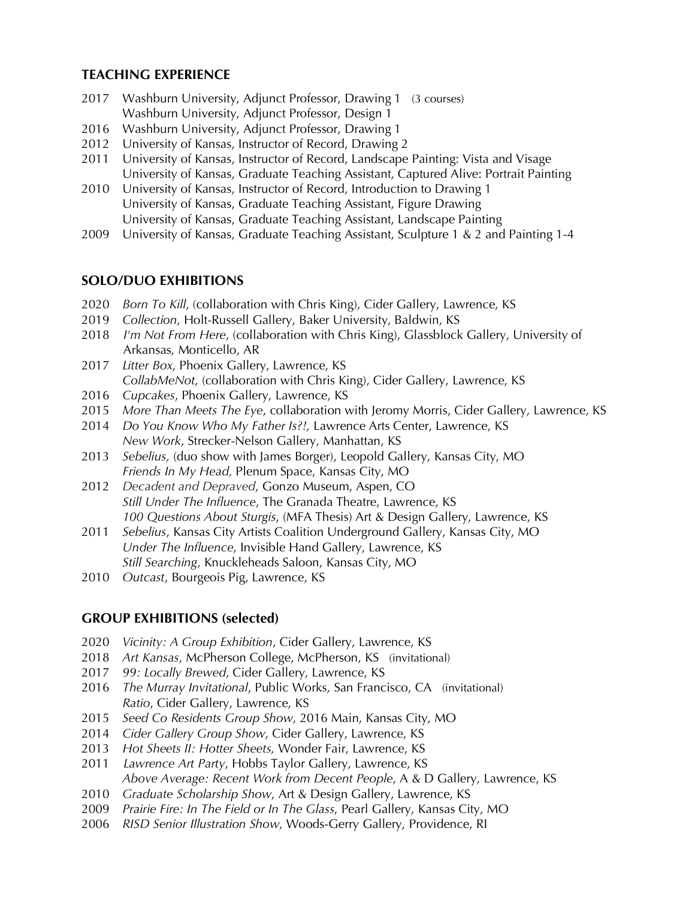## **TEACHING EXPERIENCE**

- 2017 Washburn University, Adjunct Professor, Drawing 1 (3 courses) Washburn University, Adjunct Professor, Design 1
- 2016 Washburn University, Adjunct Professor, Drawing 1
- 2012 University of Kansas, Instructor of Record, Drawing 2
- 2011 University of Kansas, Instructor of Record, Landscape Painting: Vista and Visage University of Kansas, Graduate Teaching Assistant, Captured Alive: Portrait Painting
- 2010 University of Kansas, Instructor of Record, Introduction to Drawing 1 University of Kansas, Graduate Teaching Assistant, Figure Drawing University of Kansas, Graduate Teaching Assistant, Landscape Painting
- 2009 University of Kansas, Graduate Teaching Assistant, Sculpture 1 & 2 and Painting 1-4

#### **SOLO/DUO EXHIBITIONS**

- 2020 *Born To Kill*, (collaboration with Chris King), Cider Gallery, Lawrence, KS
- 2019 *Collection*, Holt-Russell Gallery, Baker University, Baldwin, KS
- 2018 *I'm Not From Here*, (collaboration with Chris King), Glassblock Gallery, University of Arkansas, Monticello, AR
- 2017 *Litter Box*, Phoenix Gallery, Lawrence, KS *CollabMeNot*, (collaboration with Chris King), Cider Gallery, Lawrence, KS
- 2016 *Cupcakes*, Phoenix Gallery, Lawrence, KS
- 2015 *More Than Meets The Eye*, collaboration with Jeromy Morris, Cider Gallery, Lawrence, KS
- 2014 *Do You Know Who My Father Is?!,* Lawrence Arts Center, Lawrence, KS *New Work*, Strecker-Nelson Gallery, Manhattan, KS
- 2013 *Sebelius,* (duo show with James Borger), Leopold Gallery, Kansas City, MO *Friends In My Head,* Plenum Space, Kansas City, MO
- 2012 *Decadent and Depraved*, Gonzo Museum, Aspen, CO *Still Under The Influence*, The Granada Theatre, Lawrence, KS *100 Questions About Sturgis*, (MFA Thesis) Art & Design Gallery, Lawrence, KS
- 2011 *Sebelius*, Kansas City Artists Coalition Underground Gallery, Kansas City, MO *Under The Influence*, Invisible Hand Gallery, Lawrence, KS *Still Searching*, Knuckleheads Saloon, Kansas City, MO
- 2010 *Outcast*, Bourgeois Pig, Lawrence, KS

#### **GROUP EXHIBITIONS (selected)**

- 2020 *Vicinity: A Group Exhibition*, Cider Gallery, Lawrence, KS
- 2018 *Art Kansas*, McPherson College, McPherson, KS (invitational)
- 2017 *99: Locally Brewed*, Cider Gallery, Lawrence, KS
- 2016 *The Murray Invitational*, Public Works, San Francisco, CA (invitational) *Ratio*, Cider Gallery, Lawrence, KS
- 2015 *Seed Co Residents Group Show*, 2016 Main, Kansas City, MO
- 2014 *Cider Gallery Group Show*, Cider Gallery, Lawrence, KS
- 2013 *Hot Sheets II: Hotter Sheets,* Wonder Fair, Lawrence, KS
- 2011 *Lawrence Art Party*, Hobbs Taylor Gallery, Lawrence, KS *Above Average: Recent Work from Decent People*, A & D Gallery, Lawrence, KS
- 2010 *Graduate Scholarship Show*, Art & Design Gallery, Lawrence, KS
- 2009 *Prairie Fire: In The Field or In The Glass*, Pearl Gallery, Kansas City, MO
- 2006 *RISD Senior Illustration Show*, Woods-Gerry Gallery, Providence, RI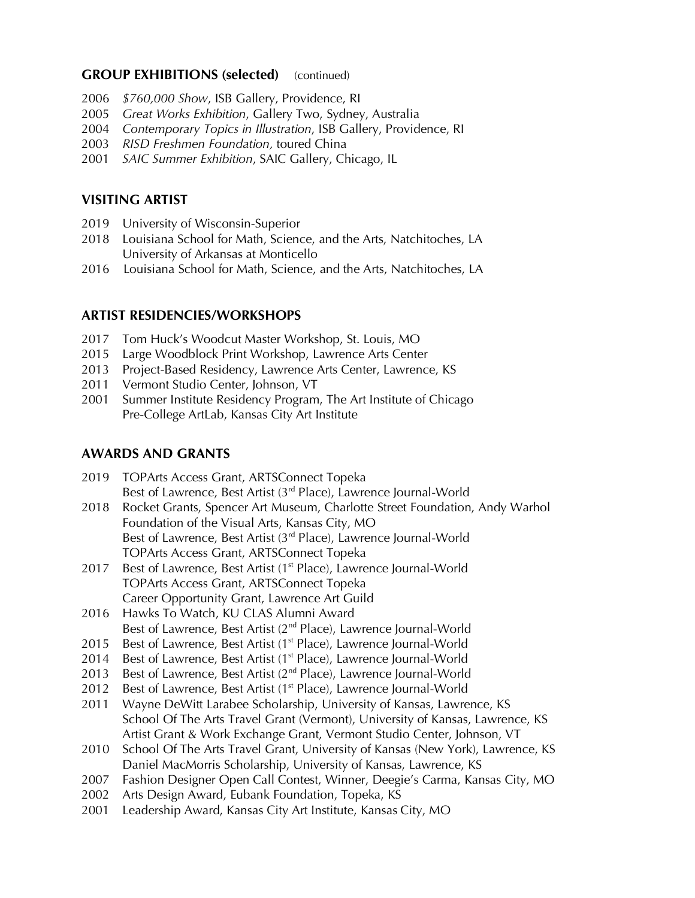#### **GROUP EXHIBITIONS (selected)** (continued)

- 2006 *\$760,000 Show*, ISB Gallery, Providence, RI
- 2005 *Great Works Exhibition*, Gallery Two, Sydney, Australia
- 2004 *Contemporary Topics in Illustration*, ISB Gallery, Providence, RI
- 2003 *RISD Freshmen Foundation,* toured China
- 2001 *SAIC Summer Exhibition*, SAIC Gallery, Chicago, IL

#### **VISITING ARTIST**

- 2019 University of Wisconsin-Superior
- 2018 Louisiana School for Math, Science, and the Arts, Natchitoches, LA University of Arkansas at Monticello
- 2016 Louisiana School for Math, Science, and the Arts, Natchitoches, LA

#### **ARTIST RESIDENCIES/WORKSHOPS**

- 2017 Tom Huck's Woodcut Master Workshop, St. Louis, MO
- 2015 Large Woodblock Print Workshop, Lawrence Arts Center
- 2013 Project-Based Residency, Lawrence Arts Center, Lawrence, KS
- 2011 Vermont Studio Center, Johnson, VT
- 2001 Summer Institute Residency Program, The Art Institute of Chicago Pre-College ArtLab, Kansas City Art Institute

#### **AWARDS AND GRANTS**

| 2019 TOPArts Access Grant, ARTSConnect Topeka                                    |
|----------------------------------------------------------------------------------|
| Best of Lawrence, Best Artist (3rd Place), Lawrence Journal-World                |
| 2018 Rocket Grants, Spencer Art Museum, Charlotte Street Foundation, Andy Warhol |
| Foundation of the Visual Arts, Kansas City, MO                                   |

Best of Lawrence, Best Artist (3<sup>rd</sup> Place), Lawrence Journal-World TOPArts Access Grant, ARTSConnect Topeka

- 2017 Best of Lawrence, Best Artist (1<sup>st</sup> Place), Lawrence Journal-World TOPArts Access Grant, ARTSConnect Topeka Career Opportunity Grant, Lawrence Art Guild
- 2016 Hawks To Watch, KU CLAS Alumni Award Best of Lawrence, Best Artist (2<sup>nd</sup> Place), Lawrence Journal-World
- 2015 Best of Lawrence, Best Artist (1<sup>st</sup> Place), Lawrence Journal-World
- 2014 Best of Lawrence, Best Artist (1<sup>st</sup> Place), Lawrence Journal-World
- 2013 Best of Lawrence, Best Artist (2<sup>nd</sup> Place), Lawrence Journal-World
- 2012 Best of Lawrence, Best Artist (1<sup>st</sup> Place), Lawrence Journal-World
- 2011 Wayne DeWitt Larabee Scholarship, University of Kansas, Lawrence, KS School Of The Arts Travel Grant (Vermont), University of Kansas, Lawrence, KS Artist Grant & Work Exchange Grant, Vermont Studio Center, Johnson, VT
- 2010 School Of The Arts Travel Grant, University of Kansas (New York), Lawrence, KS Daniel MacMorris Scholarship, University of Kansas, Lawrence, KS
- 2007 Fashion Designer Open Call Contest, Winner, Deegie's Carma, Kansas City, MO
- 2002 Arts Design Award, Eubank Foundation, Topeka, KS
- 2001 Leadership Award, Kansas City Art Institute, Kansas City, MO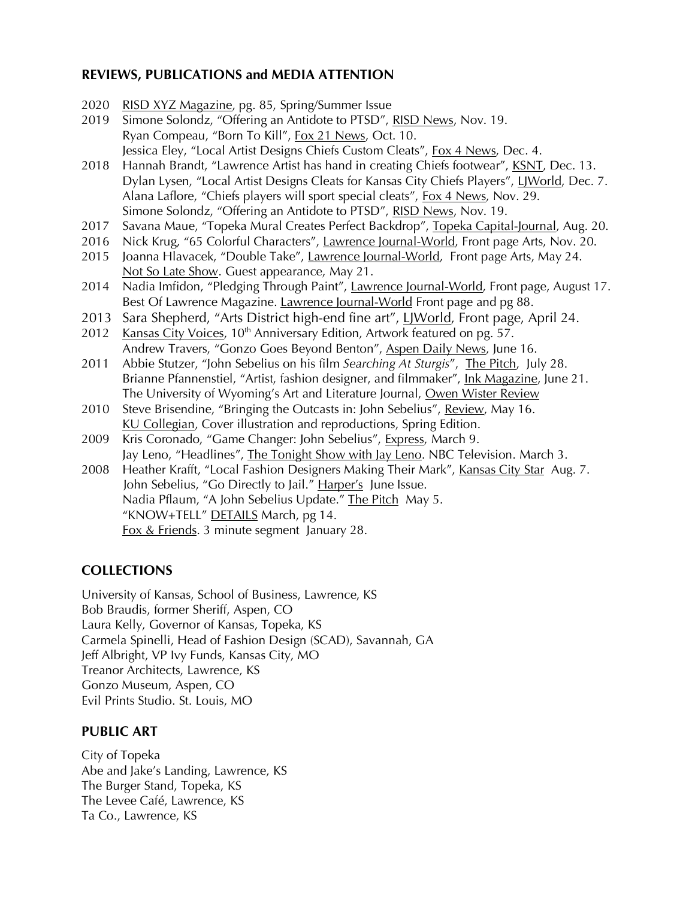## **REVIEWS, PUBLICATIONS and MEDIA ATTENTION**

- 2020 RISD XYZ Magazine, pg. 85, Spring/Summer Issue
- 2019 Simone Solondz, "Offering an Antidote to PTSD", RISD News, Nov. 19. Ryan Compeau, "Born To Kill", Fox 21 News, Oct. 10. Jessica Eley, "Local Artist Designs Chiefs Custom Cleats", Fox 4 News, Dec. 4.
- 2018 Hannah Brandt, "Lawrence Artist has hand in creating Chiefs footwear", KSNT, Dec. 13. Dylan Lysen, "Local Artist Designs Cleats for Kansas City Chiefs Players", LJWorld, Dec. 7. Alana Laflore, "Chiefs players will sport special cleats", Fox 4 News, Nov. 29. Simone Solondz, "Offering an Antidote to PTSD", RISD News, Nov. 19.
- 2017 Savana Maue, "Topeka Mural Creates Perfect Backdrop", Topeka Capital-Journal, Aug. 20.
- 2016 Nick Krug, "65 Colorful Characters", Lawrence Journal-World, Front page Arts, Nov. 20.
- 2015 Joanna Hlavacek, "Double Take", Lawrence Journal-World, Front page Arts, May 24. Not So Late Show. Guest appearance, May 21.
- 2014 Nadia Imfidon, "Pledging Through Paint", Lawrence Journal-World, Front page, August 17. Best Of Lawrence Magazine. Lawrence Journal-World Front page and pg 88.
- 2013 Sara Shepherd, "Arts District high-end fine art", LJWorld, Front page, April 24.
- 2012 Kansas City Voices,  $10<sup>th</sup>$  Anniversary Edition, Artwork featured on pg. 57. Andrew Travers, "Gonzo Goes Beyond Benton", Aspen Daily News, June 16.
- 2011 Abbie Stutzer, "John Sebelius on his film *Searching At Sturgis*", The Pitch, July 28. Brianne Pfannenstiel, "Artist, fashion designer, and filmmaker", Ink Magazine, June 21. The University of Wyoming's Art and Literature Journal, Owen Wister Review
- 2010 Steve Brisendine, "Bringing the Outcasts in: John Sebelius", Review, May 16. KU Collegian, Cover illustration and reproductions, Spring Edition.
- 2009 Kris Coronado, "Game Changer: John Sebelius", Express, March 9. Jay Leno, "Headlines", The Tonight Show with Jay Leno. NBC Television. March 3.
- 2008 Heather Krafft, "Local Fashion Designers Making Their Mark", Kansas City Star Aug. 7. John Sebelius, "Go Directly to Jail." Harper's June Issue. Nadia Pflaum, "A John Sebelius Update." The Pitch May 5. "KNOW+TELL" DETAILS March, pg 14. Fox & Friends. 3 minute segment January 28.

# **COLLECTIONS**

University of Kansas, School of Business, Lawrence, KS Bob Braudis, former Sheriff, Aspen, CO Laura Kelly, Governor of Kansas, Topeka, KS Carmela Spinelli, Head of Fashion Design (SCAD), Savannah, GA Jeff Albright, VP Ivy Funds, Kansas City, MO Treanor Architects, Lawrence, KS Gonzo Museum, Aspen, CO Evil Prints Studio. St. Louis, MO

#### **PUBLIC ART**

City of Topeka Abe and Jake's Landing, Lawrence, KS The Burger Stand, Topeka, KS The Levee Café, Lawrence, KS Ta Co., Lawrence, KS